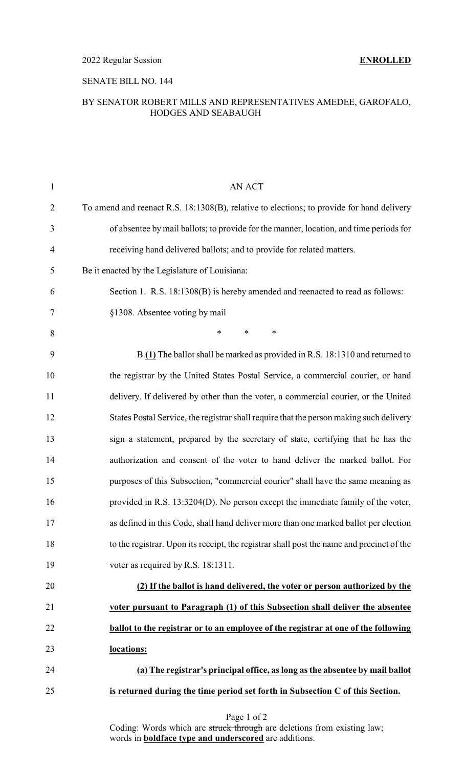### SENATE BILL NO. 144

### BY SENATOR ROBERT MILLS AND REPRESENTATIVES AMEDEE, GAROFALO, HODGES AND SEABAUGH

| 1              | AN ACT                                                                                    |
|----------------|-------------------------------------------------------------------------------------------|
| $\overline{2}$ | To amend and reenact R.S. 18:1308(B), relative to elections; to provide for hand delivery |
| 3              | of absentee by mail ballots; to provide for the manner, location, and time periods for    |
| $\overline{4}$ | receiving hand delivered ballots; and to provide for related matters.                     |
| 5              | Be it enacted by the Legislature of Louisiana:                                            |
| 6              | Section 1. R.S. 18:1308(B) is hereby amended and reenacted to read as follows:            |
| 7              | §1308. Absentee voting by mail                                                            |
| 8              | $\ast$<br>$\ast$<br>∗                                                                     |
| 9              | B.(1) The ballot shall be marked as provided in R.S. 18:1310 and returned to              |
| 10             | the registrar by the United States Postal Service, a commercial courier, or hand          |
| 11             | delivery. If delivered by other than the voter, a commercial courier, or the United       |
| 12             | States Postal Service, the registrar shall require that the person making such delivery   |
| 13             | sign a statement, prepared by the secretary of state, certifying that he has the          |
| 14             | authorization and consent of the voter to hand deliver the marked ballot. For             |
| 15             | purposes of this Subsection, "commercial courier" shall have the same meaning as          |
| 16             | provided in R.S. 13:3204(D). No person except the immediate family of the voter,          |
| 17             | as defined in this Code, shall hand deliver more than one marked ballot per election      |
| 18             | to the registrar. Upon its receipt, the registrar shall post the name and precinct of the |
| 19             | voter as required by R.S. 18:1311.                                                        |
| 20             | (2) If the ballot is hand delivered, the voter or person authorized by the                |
| 21             | voter pursuant to Paragraph (1) of this Subsection shall deliver the absentee             |
| 22             | ballot to the registrar or to an employee of the registrar at one of the following        |
| 23             | locations:                                                                                |
| 24             | (a) The registrar's principal office, as long as the absentee by mail ballot              |
| 25             | is returned during the time period set forth in Subsection C of this Section.             |

Coding: Words which are struck through are deletions from existing law; words in **boldface type and underscored** are additions.